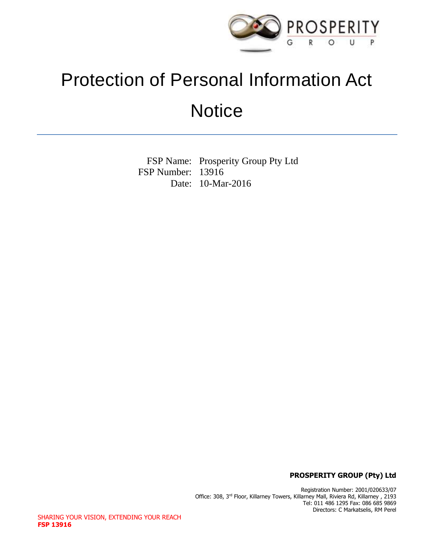

# Protection of Personal Information Act **Notice**

FSP Name: Prosperity Group Pty Ltd FSP Number: 13916 Date: 10-Mar-2016

**PROSPERITY GROUP (Pty) Ltd**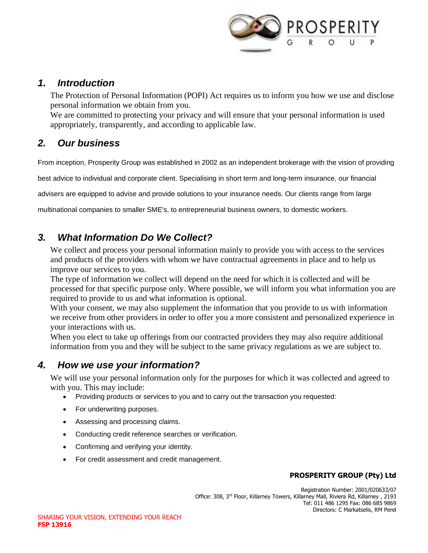

#### *1. Introduction*

The Protection of Personal Information (POPI) Act requires us to inform you how we use and disclose personal information we obtain from you.

We are committed to protecting your privacy and will ensure that your personal information is used appropriately, transparently, and according to applicable law.

## *2. Our business*

From inception, Prosperity Group was established in 2002 as an independent brokerage with the vision of providing

best advice to individual and corporate client. Specialising in short term and long-term insurance, our financial

advisers are equipped to advise and provide solutions to your insurance needs. Our clients range from large

multinational companies to smaller SME's, to entrepreneurial business owners, to domestic workers.

# *3. What Information Do We Collect?*

We collect and process your personal information mainly to provide you with access to the services and products of the providers with whom we have contractual agreements in place and to help us improve our services to you.

The type of information we collect will depend on the need for which it is collected and will be processed for that specific purpose only. Where possible, we will inform you what information you are required to provide to us and what information is optional.

With your consent, we may also supplement the information that you provide to us with information we receive from other providers in order to offer you a more consistent and personalized experience in your interactions with us.

When you elect to take up offerings from our contracted providers they may also require additional information from you and they will be subject to the same privacy regulations as we are subject to.

# *4. How we use your information?*

We will use your personal information only for the purposes for which it was collected and agreed to with you. This may include:

- Providing products or services to you and to carry out the transaction you requested:
- For underwriting purposes.
- Assessing and processing claims.
- Conducting credit reference searches or verification.
- Confirming and verifying your identity.
- For credit assessment and credit management.

#### **PROSPERITY GROUP (Pty) Ltd**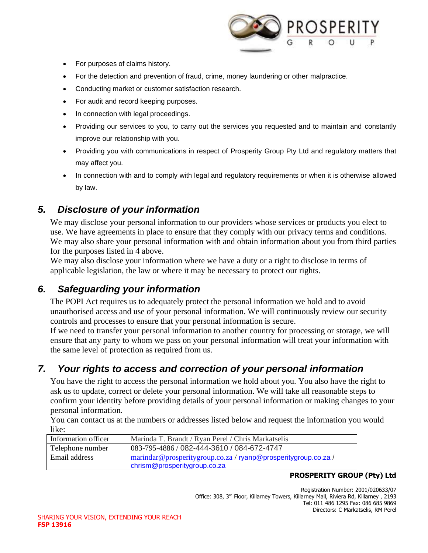

- For purposes of claims history.
- For the detection and prevention of fraud, crime, money laundering or other malpractice.
- Conducting market or customer satisfaction research.
- For audit and record keeping purposes.
- In connection with legal proceedings.
- Providing our services to you, to carry out the services you requested and to maintain and constantly improve our relationship with you.
- Providing you with communications in respect of Prosperity Group Pty Ltd and regulatory matters that may affect you.
- In connection with and to comply with legal and regulatory requirements or when it is otherwise allowed by law.

## *5. Disclosure of your information*

We may disclose your personal information to our providers whose services or products you elect to use. We have agreements in place to ensure that they comply with our privacy terms and conditions. We may also share your personal information with and obtain information about you from third parties for the purposes listed in 4 above.

We may also disclose your information where we have a duty or a right to disclose in terms of applicable legislation, the law or where it may be necessary to protect our rights.

## *6. Safeguarding your information*

The POPI Act requires us to adequately protect the personal information we hold and to avoid unauthorised access and use of your personal information. We will continuously review our security controls and processes to ensure that your personal information is secure.

If we need to transfer your personal information to another country for processing or storage, we will ensure that any party to whom we pass on your personal information will treat your information with the same level of protection as required from us.

## *7. Your rights to access and correction of your personal information*

You have the right to access the personal information we hold about you. You also have the right to ask us to update, correct or delete your personal information. We will take all reasonable steps to confirm your identity before providing details of your personal information or making changes to your personal information.

You can contact us at the numbers or addresses listed below and request the information you would like:

| Information officer | Marinda T. Brandt / Ryan Perel / Chris Markatselis                                             |
|---------------------|------------------------------------------------------------------------------------------------|
| Telephone number    | 083-795-4886 / 082-444-3610 / 084-672-4747                                                     |
| Email address       | marindar@prosperitygroup.co.za / ryanp@prosperitygroup.co.za /<br>chrism@prosperitygroup.co.za |

#### **PROSPERITY GROUP (Pty) Ltd**